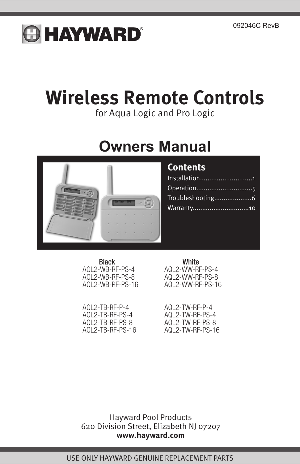# **A HAYWARD®**

# **Wireless Remote Controls**

for Aqua Logic and Pro Logic

# **Owners Manual**



### **Contents**

| Troubleshooting6 |
|------------------|
| Warranty10       |

**Black** White AQL2-WB-RF-PS-4 AQL2-WW-RF-PS-4 AQL2-WB-RF-PS-8 AQL2-WW-RF-PS-8

> AQL2-TB-RF-P-4 AQL2-TW-RF-P-4 AQL2-TB-RF-PS-4 AQL2-TW-RF-PS-4 AQL2-TB-RF-PS-8 AQL2-TW-RF-PS-8

AQL2-WW-RF-PS-16

AQL2-TW-RF-PS-16

Hayward Pool Products 620 Division Street, Elizabeth NJ 07207 **www.hayward.com**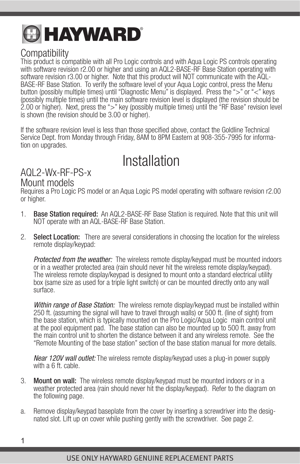

### Compatibility

This product is compatible with all Pro Logic controls and with Aqua Logic PS controls operating with software revision r2.00 or higher and using an AQL2-BASE-RF Base Station operating with software revision r3.00 or higher. Note that this product will NOT communicate with the AQL-BASE-RF Base Station. To verify the software level of your Aqua Logic control, press the Menu button (possibly multiple times) until "Diagnostic Menu" is displayed. Press the ">" or "<" keys (possibly multiple times) until the main software revision level is displayed (the revision should be 2.00 or higher). Next, press the ">" key (possibly multiple times) until the "RF Base" revision level is shown (the revision should be 3.00 or higher).

If the software revision level is less than those specified above, contact the Goldline Technical Service Dept. from Monday through Friday, 8AM to 8PM Eastern at 908-355-7995 for informa-<br>tion on upgrades.

# Installation

### AQL2-Wx-RF-PS-x

### Mount models

Requires a Pro Logic PS model or an Aqua Logic PS model operating with software revision r2.00 or higher.

- 1. Base Station required: An AQL2-BASE-RF Base Station is required. Note that this unit will NOT operate with an AQL-BASE-RF Base Station.
- 2. **Select Location:** There are several considerations in choosing the location for the wireless remote display/keypad:

*Protected from the weather:* The wireless remote display/keypad must be mounted indoors or in a weather protected area (rain should never hit the wireless remote display/keypad). The wireless remote display/keypad is designed to mount onto a standard electrical utility box (same size as used for a triple light switch) or can be mounted directly onto any wall surface.

*Within range of Base Station:* The wireless remote display/keypad must be installed within 250 ft. (assuming the signal will have to travel through walls) or 500 ft. (line of sight) from the base station, which is typically mounted on the Pro Logic/Aqua Logic main control unit at the pool equipment pad. The base station can also be mounted up to 500 ft. away from the main control unit to shorten the distance between it and any wireless remote. See the "Remote Mounting of the base station" section of the base station manual for more details.

*Near 120V wall outlet:* The wireless remote display/keypad uses a plug-in power supply with a 6 ft. cable.

- 3. Mount on wall: The wireless remote display/keypad must be mounted indoors or in a weather protected area (rain should never hit the display/keypad). Refer to the diagram on the following page.
- a. Remove display/keypad baseplate from the cover by inserting a screwdriver into the desig- nated slot. Lift up on cover while pushing gently with the screwdriver. See page 2.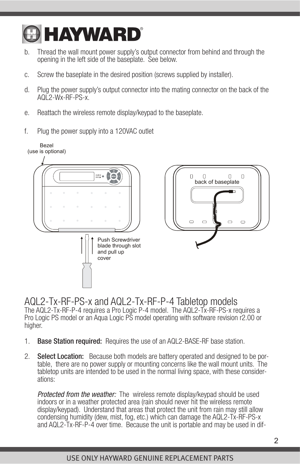

- b. Thread the wall mount power supply's output connector from behind and through the opening in the left side of the baseplate. See below.
- c. Screw the baseplate in the desired position (screws supplied by installer).
- d. Plug the power supply's output connector into the mating connector on the back of the AQL2-Wx-RF-PS-x.
- e. Reattach the wireless remote display/keypad to the baseplate.
- f. Plug the power supply into a 120VAC outlet



AQL2-Tx-RF-PS-x and AQL2-Tx-RF-P-4 Tabletop models The AQL2-Tx-RF-P-4 requires a Pro Logic P-4 model. The AQL2-Tx-RF-PS-x requires a Pro Logic PS model or an Aqua Logic PS model operating with software revision r2.00 or higher.

- 1. **Base Station required:** Requires the use of an AQL2-BASE-RF base station.
- 2. Select Location: Because both models are battery operated and designed to be portable, there are no power supply or mounting concerns like the wall mount units. The tabletop units are intended to be used in the normal living space, with these considerations:

*Protected from the weather:* The wireless remote display/keypad should be used indoors or in a weather protected area (rain should never hit the wireless remote display/keypad). Understand that areas that protect the unit from rain may still allow condensing humidity (dew, mist, fog, etc.) which can damage the AQL2-Tx-RF-PS-x and AQL2-Tx-RF-P-4 over time. Because the unit is portable and may be used in dif-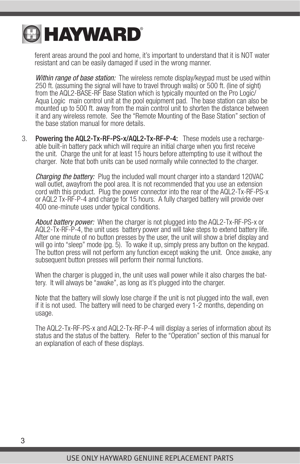

ferent areas around the pool and home, it's important to understand that it is NOT water resistant and can be easily damaged if used in the wrong manner.

*Within range of base station:* The wireless remote display/keypad must be used within 250 ft. (assuming the signal will have to travel through walls) or 500 ft. (line of sight) from the AQL2-BASE-RF Base Station which is typically mounted on the Pro Logic/ Aqua Logic main control unit at the pool equipment pad. The base station can also be mounted up to 500 ft. away from the main control unit to shorten the distance between it and any wireless remote. See the "Remote Mounting of the Base Station" section of the base station manual for more details.

3. Powering the AQL2-Tx-RF-PS-x/AQL2-Tx-RF-P-4: These models use a rechargeable built-in battery pack which will require an initial charge when you first receive the unit. Charge the unit for at least 15 hours before attempting to use it without the charger. Note that both units can be used normally while connected to the charger.

*Charging the battery:* Plug the included wall mount charger into a standard 120VAC wall outlet, awayfrom the pool area. It is not recommended that you use an extension cord with this product. Plug the power connector into the rear of the AQL2-Tx-RF-PS-x or AQL2 Tx-RF-P-4 and charge for 15 hours. A fully charged battery will provide over 400 one-minute uses under typical conditions.

*About battery power:* When the charger is not plugged into the AQL2-Tx-RF-PS-x or AQL2-Tx-RF-P-4, the unit uses battery power and will take steps to extend battery life. After one minute of no button presses by the user, the unit will show a brief display and will go into "sleep" mode (pg. 5). To wake it up, simply press any button on the keypad. The button press will not perform any function except waking the unit. Once awake, any subsequent button presses will perform their normal functions.

When the charger is plugged in, the unit uses wall power while it also charges the battery. It will always be "awake", as long as it's plugged into the charger.

Note that the battery will slowly lose charge if the unit is not plugged into the wall, even if it is not used. The battery will need to be charged every 1-2 months, depending on usage.

The AQL2-Tx-RF-PS-x and AQL2-Tx-RF-P-4 will display a series of information about its status and the status of the battery. Refer to the "Operation" section of this manual for an explanation of each of these displays.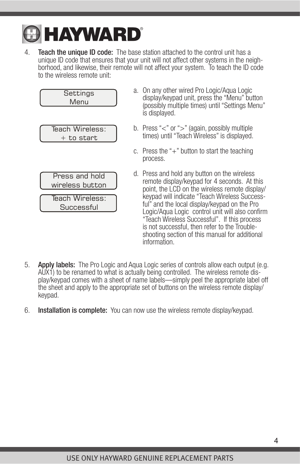

4. **Teach the unique ID code:** The base station attached to the control unit has a unique ID code that ensures that your unit will not affect other systems in the neighborhood, and likewise, their remote will not affect your system. To teach the ID code to the wireless remote unit:

| Settings<br>Menu                                                   | a. On any other wired Pro Logic/Aqua Logic<br>display/keypad unit, press the "Menu" button<br>(possibly multiple times) until "Settings Menu"<br>is displayed.                                                                                                                                                                                                                                                                                                        |
|--------------------------------------------------------------------|-----------------------------------------------------------------------------------------------------------------------------------------------------------------------------------------------------------------------------------------------------------------------------------------------------------------------------------------------------------------------------------------------------------------------------------------------------------------------|
| Teach Wireless:<br>$+$ to start                                    | b. Press " $\lt$ " or " $\gt$ " (again, possibly multiple<br>times) until "Teach Wireless" is displayed.                                                                                                                                                                                                                                                                                                                                                              |
|                                                                    | c. Press the " $+$ " button to start the teaching<br>process.                                                                                                                                                                                                                                                                                                                                                                                                         |
| Press and hold<br>wireless button<br>Teach Wireless:<br>Successful | d. Press and hold any button on the wireless<br>remote display/keypad for 4 seconds. At this<br>point, the LCD on the wireless remote display/<br>keypad will indicate "Teach Wireless Success-<br>ful" and the local display/keypad on the Pro<br>Logic/Aqua Logic control unit will also confirm<br>"Teach Wireless Successful". If this process<br>is not successful, then refer to the Trouble-<br>shooting section of this manual for additional<br>information. |

- 5. **Apply labels:** The Pro Logic and Aqua Logic series of controls allow each output (e.g. AUX1) to be renamed to what is actually being controlled. The wireless remote display/keypad comes with a sheet of name labels—simply peel the appropriate label off the sheet and apply to the appropriate set of buttons on the wireless remote display/ keypad.
- 6. Installation is complete: You can now use the wireless remote display/keypad.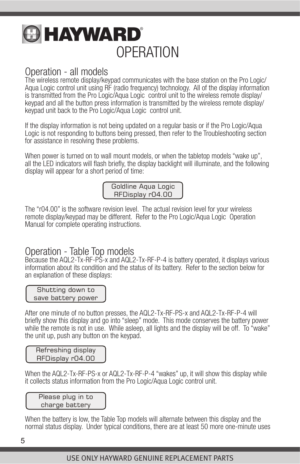# **A HAYWARD® OPERATION**

### Operation - all models

The wireless remote display/keypad communicates with the base station on the Pro Logic/ Aqua Logic control unit using RF (radio frequency) technology. All of the display information is transmitted from the Pro Logic/Aqua Logic control unit to the wireless remote display/ keypad and all the button press information is transmitted by the wireless remote display/ keypad unit back to the Pro Logic/Aqua Logic control unit.

If the display information is not being updated on a regular basis or if the Pro Logic/Aqua Logic is not responding to buttons being pressed, then refer to the Troubleshooting section for assistance in resolving these problems.

When power is turned on to wall mount models, or when the tabletop models "wake up", all the LED indicators will flash briefly, the display backlight will illuminate, and the following display will appear for a short period of time:

> Goldline Aqua Logic RFDisplay r04.00

The "r04.00" is the software revision level. The actual revision level for your wireless remote display/keypad may be different. Refer to the Pro Logic/Aqua Logic Operation Manual for complete operating instructions.

### Operation - Table Top models

Because the AQL2-Tx-RF-PS-x and AQL2-Tx-RF-P-4 is battery operated, it displays various information about its condition and the status of its battery. Refer to the section below for an explanation of these displays:

Shutting down to save battery power

After one minute of no button presses, the AQL2-Tx-RF-PS-x and AQL2-Tx-RF-P-4 will briefly show this display and go into "sleep" mode. This mode conserves the battery power while the remote is not in use. While asleep, all lights and the display will be off. To "wake" the unit up, push any button on the keypad.

Refreshing display RFDisplay r04.00

When the AQL2-Tx-RF-PS-x or AQL2-Tx-RF-P-4 "wakes" up, it will show this display while it collects status information from the Pro Logic/Aqua Logic control unit.

Please plug in to charge battery

When the battery is low, the Table Top models will alternate between this display and the normal status display. Under typical conditions, there are at least 50 more one-minute uses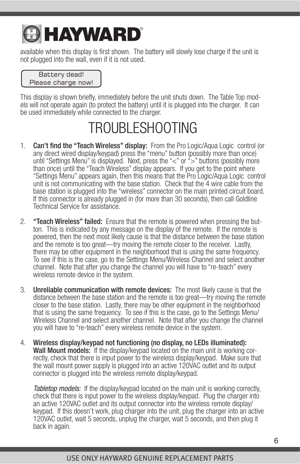# **HAYWARD®**

available when this display is first shown. The battery will slowly lose charge if the unit is not plugged into the wall, even if it is not used.

#### Battery dead! Please charge now!

This display is shown briefly, immediately before the unit shuts down. The Table Top mod- els will not operate again (to protect the battery) until it is plugged into the charger. It can be used immediately while connected to the charger.

# TROUBLESHOOTING

- 1. Can't find the "Teach Wireless" display: From the Pro Logic/Aqua Logic control (or any direct wired display/keypad) press the "menu" button (possibly more than once) until "Settings Menu" is displayed. Next, press the "<" or ">" buttons (possibly more than once) until the "Teach Wireless" display appears. If you get to the point where "Settings Menu" appears again, then this means that the Pro Logic/Aqua Logic control unit is not communicating with the base station. Check that the 4 wire cable from the base station is plugged into the "wireless" connector on the main printed circuit board. If this connector is already plugged in (for more than 30 seconds), then call Goldline Technical Service for assistance.
- 2. "Teach Wireless" failed: Ensure that the remote is powered when pressing the button. This is indicated by any message on the display of the remote. If the remote is powered, then the next most likely cause is that the distance between the base station and the remote is too great—try moving the remote closer to the receiver. Lastly, there may be other equipment in the neighborhood that is using the same frequency. To see if this is the case, go to the Settings Menu/Wireless Channel and select another channel. Note that after you change the channel you will have to "re-teach" every wireless remote device in the system.
- 3. Unreliable communication with remote devices: The most likely cause is that the distance between the base station and the remote is too great—try moving the remote closer to the base station. Lastly, there may be other equipment in the neighborhood that is using the same frequency. To see if this is the case, go to the Settings Menu/ Wireless Channel and select another channel. Note that after you change the channel you will have to "re-teach" every wireless remote device in the system.
- 4. Wireless display/keypad not functioning (no display, no LEDs illuminated): Wall Mount models: If the display/keypad located on the main unit is working correctly, check that there is input power to the wireless display/keypad. Make sure that the wall mount power supply is plugged into an active 120VAC outlet and its output connector is plugged into the wireless remote display/keypad.

*Tabletop models:* If the display/keypad located on the main unit is working correctly, check that there is input power to the wireless display/keypad. Plug the charger into an active 120VAC outlet and its output connector into the wireless remote display/ keypad. If this doesn't work, plug charger into the unit, plug the charger into an active 120VAC outlet, wait 5 seconds, unplug the charger, wait 5 seconds, and then plug it back in again.

### USE ONLY HAYWARD GENUINE REPLACEMENT PARTS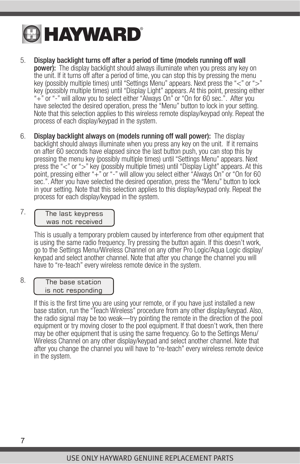

- 5. Display backlight turns off after a period of time (models running off wall **power):** The display backlight should always illuminate when you press any key on the unit. If it turns off after a period of time, you can stop this by pressing the menu key (possibly multiple times) until "Settings Menu" appears. Next press the "<" or ">" key (possibly multiple times) until "Display Light" appears. At this point, pressing either "+" or "-" will allow you to select either "Always On" or "On for 60 sec.". After you have selected the desired operation, press the "Menu" button to lock in your setting. Note that this selection applies to this wireless remote display/keypad only. Repeat the process of each display/keypad in the system.
- 6. Display backlight always on (models running off wall power): The display backlight should always illuminate when you press any key on the unit. If it remains on after 60 seconds have elapsed since the last button push, you can stop this by pressing the menu key (possibly multiple times) until "Settings Menu" appears. Next press the "<" or ">" key (possibly multiple times) until "Display Light" appears. At this point, pressing either "+" or "-" will allow you select either "Always On" or "On for 60 sec.". After you have selected the desired operation, press the "Menu" button to lock in your setting. Note that this selection applies to this display/keypad only. Repeat the process for each display/keypad in the system.
- 7. The last keypress was not received

This is usually a temporary problem caused by interference from other equipment that is using the same radio frequency. Try pressing the button again. If this doesn't work, go to the Settings Menu/Wireless Channel on any other Pro Logic/Aqua Logic display/ keypad and select another channel. Note that after you change the channel you will have to "re-teach" every wireless remote device in the system.

8.

#### The base station is not responding

If this is the first time you are using your remote, or if you have just installed a new base station, run the "Teach Wireless" procedure from any other display/keypad. Also, the radio signal may be too weak—try pointing the remote in the direction of the pool equipment or try moving closer to the pool equipment. If that doesn't work, then there may be other equipment that is using the same frequency. Go to the Settings Menu/ Wireless Channel on any other display/keypad and select another channel. Note that after you change the channel you will have to "re-teach" every wireless remote device in the system.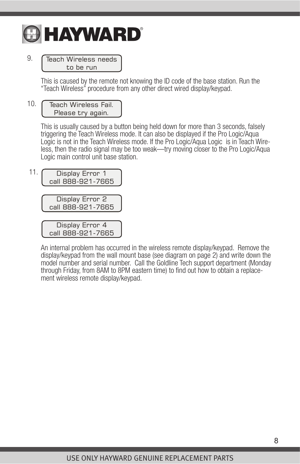

9. Teach Wireless needs to be run

> This is caused by the remote not knowing the ID code of the base station. Run the "Teach Wireless" procedure from any other direct wired display/keypad.

#### 10. Teach Wireless Fail. Please try again.

This is usually caused by a button being held down for more than 3 seconds, falsely triggering the Teach Wireless mode. It can also be displayed if the Pro Logic/Aqua Logic is not in the Teach Wireless mode. If the Pro Logic/Aqua Logic is in Teach Wire-<br>less, then the radio signal may be too weak—try moving closer to the Pro Logic/Aqua Logic main control unit base station.

 11. Display Error 1 call 888-921-7665

> Display Error 2 call 888-921-7665

| Display Error 4   |
|-------------------|
| call 888-921-7665 |

An internal problem has occurred in the wireless remote display/keypad. Remove the display/keypad from the wall mount base (see diagram on page 2) and write down the model number and serial number. Call the Goldline Tech support department (Monday through Friday, from 8AM to 8PM eastern time) to find out how to obtain a replace- ment wireless remote display/keypad.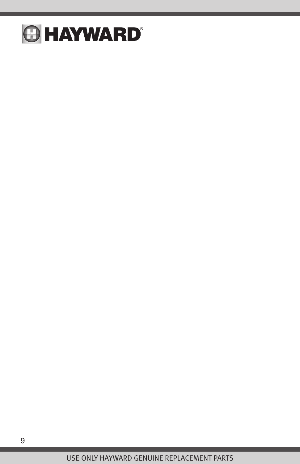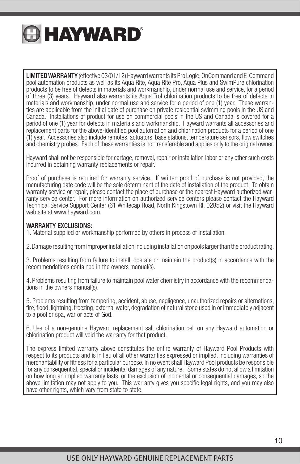

LIMITED WARRANTY (effective 03/01/12) Hayward warrants its Pro Logic, OnCommand and E-Command pool automation products as well as its Aqua Rite, Aqua Rite Pro, Aqua Plus and SwimPure chlorination products to be free of defects in materials and workmanship, under normal use and service, for a period of three (3) years. Hayward also warrants its Aqua Trol chlorination products to be free of defects in ties are applicable from the initial date of purchase on private residential swimming pools in the US and Canada. Installations of product for use on commercial pools in the US and Canada is covered for a period of one (1) year for defects in materials and workmanship. Hayward warrants all accessories and replacement parts for the above-identified pool automation and chlorination products for a period of one (1) year. Accessories also include remotes, actuators, base stations, temperature sensors, flow switches and chemistry probes. Each of these warranties is not transferable and applies only to the original owner.

Hayward shall not be responsible for cartage, removal, repair or installation labor or any other such costs incurred in obtaining warranty replacements or repair.

Proof of purchase is required for warranty service. If written proof of purchase is not provided, the manufacturing date code will be the sole determinant of the date of installation of the product. To obtain<br>warranty service or repair, please contact the place of purchase or the nearest Hayward authorized warranty service center. For more information on authorized service centers please contact the Hayward Technical Service Support Center (61 Whitecap Road, North Kingstown RI, 02852) or visit the Hayward web site at www.hayward.com.

#### WARRANTY FXCLUSIONS:

1. Material supplied or workmanship performed by others in process of installation.

2. Damage resulting from improper installation including installation on pools larger than the product rating.

3. Problems resulting from failure to install, operate or maintain the product(s) in accordance with the recommendations contained in the owners manual(s).

4. Problems resulting from failure to maintain pool water chemistry in accordance with the recommendations in the owners manual(s).

5. Problems resulting from tampering, accident, abuse, negligence, unauthorized repairs or alternations, fire, flood, lightning, freezing, external water, degradation of natural stone used in or immediately adjacent to a pool or spa, war or acts of God.

6. Use of a non-genuine Hayward replacement salt chlorination cell on any Hayward automation or chlorination product will void the warranty for that product.

The express limited warranty above constitutes the entire warranty of Hayward Pool Products with respect to its products and is in lieu of all other warranties expressed or implied, including warranties of merchantability or fitness for a particular purpose. In no event shall Hayward Pool products be responsible for any consequential, special or incidental damages of any nature. Some states do not allow a limitation on how long an implied warranty lasts, or the exclusion of incidental or consequential damages, so the above limitation may not apply to you. This warranty gives you specific legal rights, and you may also have other rights, which vary from state to state.